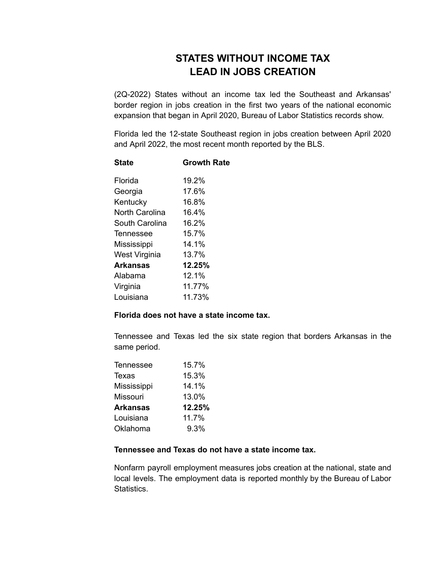## **STATES WITHOUT INCOME TAX LEAD IN JOBS CREATION**

(2Q-2022) States without an income tax led the Southeast and Arkansas' border region in jobs creation in the first two years of the national economic expansion that began in April 2020, Bureau of Labor Statistics records show.

Florida led the 12-state Southeast region in jobs creation between April 2020 and April 2022, the most recent month reported by the BLS.

| <b>State</b>          | <b>Growth Rate</b> |
|-----------------------|--------------------|
| Florida               | 19.2%              |
| Georgia               | 17.6%              |
| Kentucky              | 16.8%              |
| <b>North Carolina</b> | 16.4%              |
| South Carolina        | 16.2%              |
| Tennessee             | 15.7%              |
| Mississippi           | 14.1%              |
| West Virginia         | 13.7%              |
| Arkansas              | 12.25%             |
| Alabama               | $12.1\%$           |
| Virginia              | 11.77%             |
| Louisiana             | 11.73%             |

## **Florida does not have a state income tax.**

Tennessee and Texas led the six state region that borders Arkansas in the same period.

| Tennessee   | 15.7%  |
|-------------|--------|
| Texas       | 15.3%  |
| Mississippi | 14.1%  |
| Missouri    | 13.0%  |
| Arkansas    | 12.25% |
| Louisiana   | 11.7%  |
| Oklahoma    | 9.3%   |
|             |        |

## **Tennessee and Texas do not have a state income tax.**

Nonfarm payroll employment measures jobs creation at the national, state and local levels. The employment data is reported monthly by the Bureau of Labor Statistics.